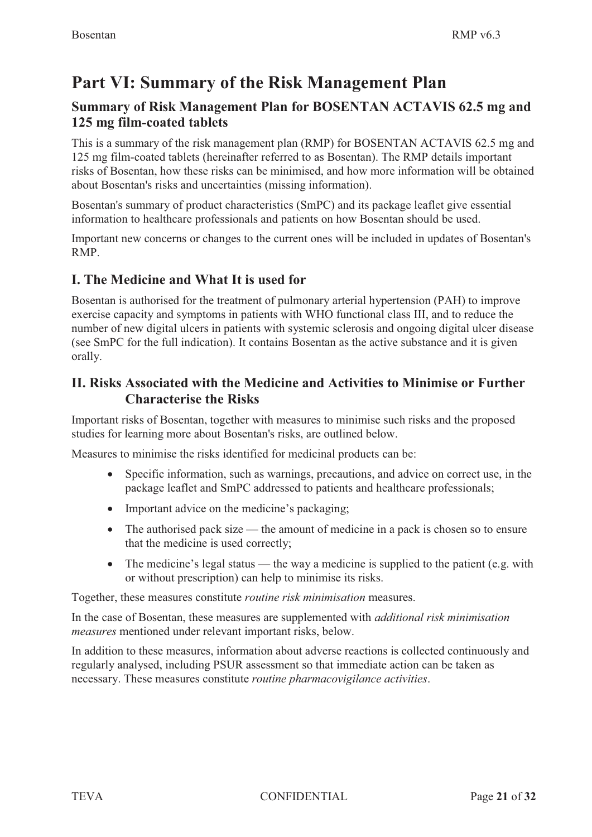# **Part VI: Summary of the Risk Management Plan**

## **Summary of Risk Management Plan for BOSENTAN ACTAVIS 62.5 mg and 125 mg film-coated tablets**

This is a summary of the risk management plan (RMP) for BOSENTAN ACTAVIS 62.5 mg and 125 mg film-coated tablets (hereinafter referred to as Bosentan). The RMP details important risks of Bosentan, how these risks can be minimised, and how more information will be obtained about Bosentan's risks and uncertainties (missing information).

Bosentan's summary of product characteristics (SmPC) and its package leaflet give essential information to healthcare professionals and patients on how Bosentan should be used.

Important new concerns or changes to the current ones will be included in updates of Bosentan's RMP.

## **I. The Medicine and What It is used for**

Bosentan is authorised for the treatment of pulmonary arterial hypertension (PAH) to improve exercise capacity and symptoms in patients with WHO functional class III, and to reduce the number of new digital ulcers in patients with systemic sclerosis and ongoing digital ulcer disease (see SmPC for the full indication). It contains Bosentan as the active substance and it is given orally.

#### **II. Risks Associated with the Medicine and Activities to Minimise or Further Characterise the Risks**

Important risks of Bosentan, together with measures to minimise such risks and the proposed studies for learning more about Bosentan's risks, are outlined below.

Measures to minimise the risks identified for medicinal products can be:

- - Specific information, such as warnings, precautions, and advice on correct use, in the package leaflet and SmPC addressed to patients and healthcare professionals;
- Important advice on the medicine's packaging;
- The authorised pack size the amount of medicine in a pack is chosen so to ensure that the medicine is used correctly;
- The medicine's legal status the way a medicine is supplied to the patient (e.g. with or without prescription) can help to minimise its risks.

Together, these measures constitute *routine risk minimisation* measures.

In the case of Bosentan, these measures are supplemented with *additional risk minimisation measures* mentioned under relevant important risks, below.

In addition to these measures, information about adverse reactions is collected continuously and regularly analysed, including PSUR assessment so that immediate action can be taken as necessary. These measures constitute *routine pharmacovigilance activities*.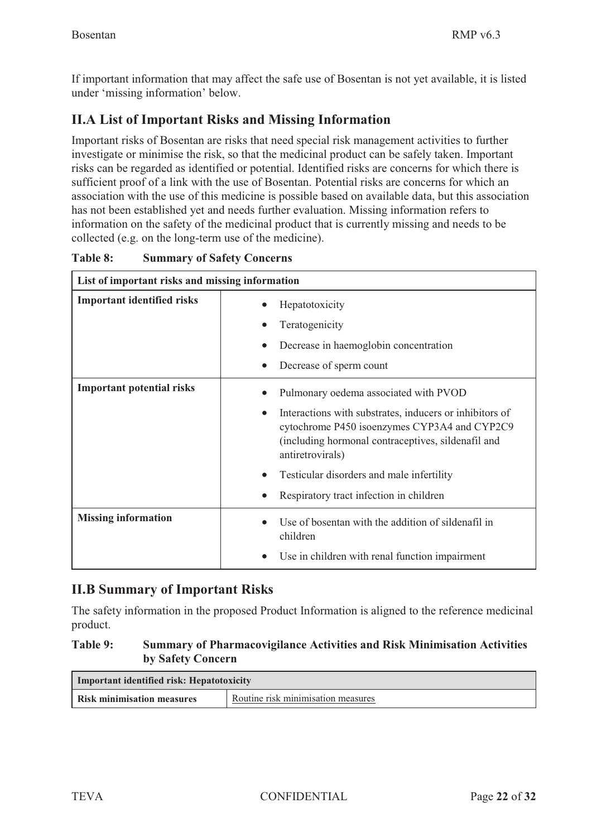Г

If important information that may affect the safe use of Bosentan is not yet available, it is listed under 'missing information' below.

## **II.A List of Important Risks and Missing Information**

Important risks of Bosentan are risks that need special risk management activities to further investigate or minimise the risk, so that the medicinal product can be safely taken. Important risks can be regarded as identified or potential. Identified risks are concerns for which there is sufficient proof of a link with the use of Bosentan. Potential risks are concerns for which an association with the use of this medicine is possible based on available data, but this association has not been established yet and needs further evaluation. Missing information refers to information on the safety of the medicinal product that is currently missing and needs to be collected (e.g. on the long-term use of the medicine).

| List of important risks and missing information |                                                                                                                                                                                                                                                                                                                                 |
|-------------------------------------------------|---------------------------------------------------------------------------------------------------------------------------------------------------------------------------------------------------------------------------------------------------------------------------------------------------------------------------------|
| <b>Important identified risks</b>               | Hepatotoxicity<br>Teratogenicity<br>Decrease in haemoglobin concentration<br>Decrease of sperm count<br>$\bullet$                                                                                                                                                                                                               |
| <b>Important potential risks</b>                | Pulmonary oedema associated with PVOD<br>Interactions with substrates, inducers or inhibitors of<br>$\bullet$<br>cytochrome P450 isoenzymes CYP3A4 and CYP2C9<br>(including hormonal contraceptives, sildenafil and<br>antiretrovirals)<br>Testicular disorders and male infertility<br>Respiratory tract infection in children |
| <b>Missing information</b>                      | Use of bosentan with the addition of sildenafil in<br>children<br>Use in children with renal function impairment                                                                                                                                                                                                                |

**Table 8: Summary of Safety Concerns** 

## **II.B Summary of Important Risks**

The safety information in the proposed Product Information is aligned to the reference medicinal product.

#### **Table 9: Summary of Pharmacovigilance Activities and Risk Minimisation Activities by Safety Concern**

| Important identified risk: Hepatotoxicity |                                    |
|-------------------------------------------|------------------------------------|
| Risk minimisation measures                | Routine risk minimisation measures |